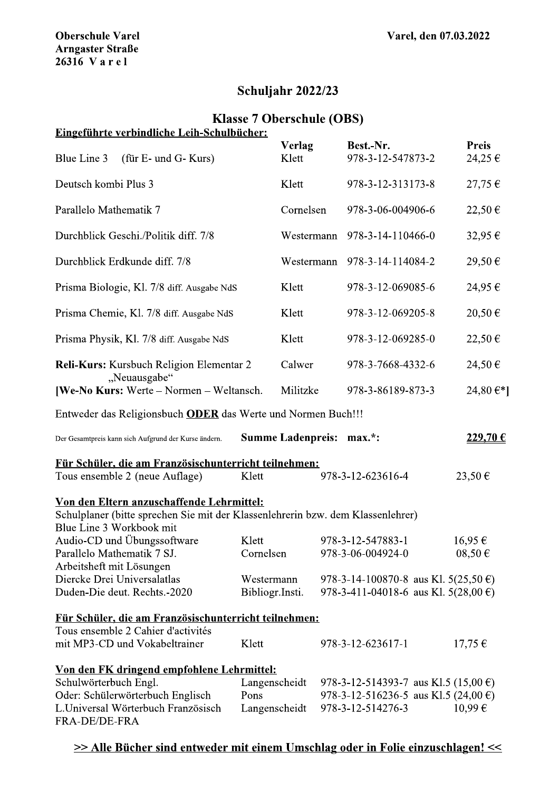# Schuljahr 2022/23

## Klasse / Oberschule (OBS)

|  | Eingeführte verbindliche Leih-Schulbücher: |
|--|--------------------------------------------|
|  |                                            |

| <b>Oberschule Varel</b><br><b>Arngaster Straße</b><br>26316 Varel                                                                                        |                       |                                  | Varel, den 07.03.2022 |                                                           |        |                        |  |
|----------------------------------------------------------------------------------------------------------------------------------------------------------|-----------------------|----------------------------------|-----------------------|-----------------------------------------------------------|--------|------------------------|--|
|                                                                                                                                                          |                       | <b>Schuljahr 2022/23</b>         |                       |                                                           |        |                        |  |
| Eingeführte verbindliche Leih-Schulbücher:                                                                                                               |                       | <b>Klasse 7 Oberschule (OBS)</b> |                       |                                                           |        |                        |  |
|                                                                                                                                                          |                       | Verlag                           |                       | Best.-Nr.                                                 |        | <b>Preis</b>           |  |
| Blue Line 3<br>(für E- und G- Kurs)                                                                                                                      |                       | Klett                            |                       | 978-3-12-547873-2                                         |        | 24,25 €                |  |
| Deutsch kombi Plus 3                                                                                                                                     |                       | Klett                            |                       | 978-3-12-313173-8                                         |        | 27,75€                 |  |
| Parallelo Mathematik 7                                                                                                                                   | Cornelsen             |                                  | 978-3-06-004906-6     |                                                           | 22,50€ |                        |  |
| Durchblick Geschi./Politik diff. 7/8                                                                                                                     |                       | Westermann                       |                       | 978-3-14-110466-0                                         |        | 32,95€                 |  |
| Durchblick Erdkunde diff. 7/8                                                                                                                            |                       | Westermann                       |                       | 978-3-14-114084-2                                         |        | 29,50€                 |  |
| Prisma Biologie, Kl. 7/8 diff. Ausgabe NdS                                                                                                               |                       | Klett                            |                       | 978-3-12-069085-6                                         |        | 24,95 €                |  |
| Prisma Chemie, Kl. 7/8 diff. Ausgabe NdS                                                                                                                 |                       | Klett                            |                       | 978-3-12-069205-8                                         |        | 20,50€                 |  |
| Prisma Physik, Kl. 7/8 diff. Ausgabe NdS                                                                                                                 |                       | Klett                            |                       | 978-3-12-069285-0                                         |        | 22,50€                 |  |
| Reli-Kurs: Kursbuch Religion Elementar 2                                                                                                                 |                       | Calwer                           |                       | 978-3-7668-4332-6                                         |        | 24,50€                 |  |
| "Neuausgabe"<br>[We-No Kurs: Werte – Normen – Weltansch.                                                                                                 |                       | Militzke                         |                       | 978-3-86189-873-3                                         |        | 24,80 $\varepsilon$ *] |  |
| Entweder das Religionsbuch <b>ODER</b> das Werte und Normen Buch!!!                                                                                      |                       |                                  |                       |                                                           |        |                        |  |
| Der Gesamtpreis kann sich Aufgrund der Kurse ändern.                                                                                                     |                       | <b>Summe Ladenpreis: max.*:</b>  |                       |                                                           |        | 229,70 €               |  |
| Für Schüler, die am Französischunterricht teilnehmen:                                                                                                    |                       |                                  |                       |                                                           |        |                        |  |
| Tous ensemble 2 (neue Auflage)                                                                                                                           | Klett                 |                                  |                       | 978-3-12-623616-4                                         |        | 23,50€                 |  |
| Von den Eltern anzuschaffende Lehrmittel:<br>Schulplaner (bitte sprechen Sie mit der Klassenlehrerin bzw. dem Klassenlehrer)<br>Blue Line 3 Workbook mit |                       |                                  |                       |                                                           |        |                        |  |
| Audio-CD und Übungssoftware<br>Parallelo Mathematik 7 SJ.<br>Arbeitsheft mit Lösungen                                                                    | Klett                 | Cornelsen                        |                       | 978-3-12-547883-1<br>978-3-06-004924-0                    |        | 16,95€<br>$08,50 \in$  |  |
| Diercke Drei Universalatlas                                                                                                                              |                       | Westermann                       |                       | 978-3-14-100870-8 aus Kl. $5(25,50 \text{ } \epsilon)$    |        |                        |  |
| Duden-Die deut. Rechts.-2020                                                                                                                             |                       | Bibliogr.Insti.                  |                       | 978-3-411-04018-6 aus Kl. 5(28,00 €)                      |        |                        |  |
| Für Schüler, die am Französischunterricht teilnehmen:<br>Tous ensemble 2 Cahier d'activités                                                              |                       |                                  |                       |                                                           |        |                        |  |
| mit MP3-CD und Vokabeltrainer                                                                                                                            | Klett                 |                                  |                       | 978-3-12-623617-1                                         |        | $17,75 \in$            |  |
| Von den FK dringend empfohlene Lehrmittel:<br>Schulwörterbuch Engl.                                                                                      | Langenscheidt<br>Pons |                                  |                       | 978-3-12-514393-7 aus Kl.5 (15,00 $\epsilon$ )            |        |                        |  |
| Oder: Schülerwörterbuch Englisch<br>L.Universal Wörterbuch Französisch                                                                                   |                       | Langenscheidt                    |                       | 978-3-12-516236-5 aus Kl.5 (24,00 €)<br>978-3-12-514276-3 |        | $10,99 \in$            |  |
| FRA-DE/DE-FRA                                                                                                                                            |                       |                                  |                       |                                                           |        |                        |  |

## $\geq$   $\geq$  Alle Bücher sind entweder mit einem Umschlag oder in Folie einzuschlagen!  $\leq$